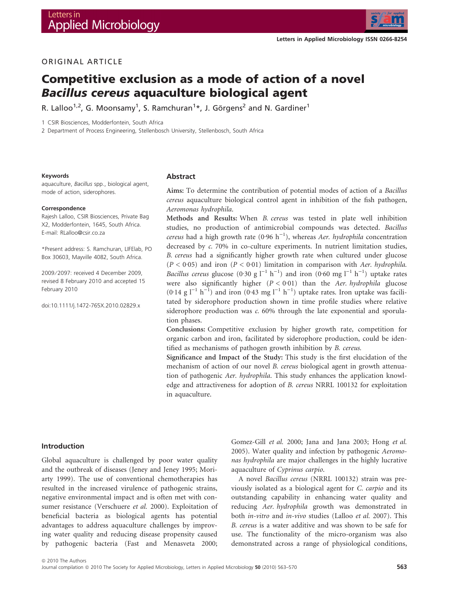

# ORIGINAL ARTICLE

# Competitive exclusion as a mode of action of a novel Bacillus cereus aquaculture biological agent

R. Lalloo $^{1,2}$ , G. Moonsamy $^{1}$ , S. Ramchuran $^{1\star}$ , J. Görgens $^{2}$  and N. Gardiner $^{1}$ 

1 CSIR Biosciences, Modderfontein, South Africa

2 Department of Process Engineering, Stellenbosch University, Stellenbosch, South Africa

#### Keywords

aquaculture, Bacillus spp., biological agent, mode of action, siderophores.

#### Correspondence

Rajesh Lalloo, CSIR Biosciences, Private Bag X2, Modderfontein, 1645, South Africa. E-mail: RLalloo@csir.co.za

\*Present address: S. Ramchuran, LIFElab, PO Box 30603, Mayville 4082, South Africa.

2009 ⁄ 2097: received 4 December 2009, revised 8 February 2010 and accepted 15 February 2010

doi:10.1111/j.1472-765X.2010.02829.x

#### Abstract

Aims: To determine the contribution of potential modes of action of a Bacillus cereus aquaculture biological control agent in inhibition of the fish pathogen, Aeromonas hydrophila.

Methods and Results: When B. cereus was tested in plate well inhibition studies, no production of antimicrobial compounds was detected. Bacillus cereus had a high growth rate (0.96  $h^{-1}$ ), whereas Aer. hydrophila concentration decreased by c. 70% in co-culture experiments. In nutrient limitation studies, B. cereus had a significantly higher growth rate when cultured under glucose  $(P < 0.05)$  and iron  $(P < 0.01)$  limitation in comparison with Aer. hydrophila. *Bacillus cereus* glucose (0.30 g  $l^{-1}$   $h^{-1}$ ) and iron (0.60 mg  $l^{-1}$   $h^{-1}$ ) uptake rates were also significantly higher  $(P < 0.01)$  than the Aer. hydrophila glucose  $(0.14 \text{ g } l^{-1} \text{ h}^{-1})$  and iron  $(0.43 \text{ mg } l^{-1} \text{ h}^{-1})$  uptake rates. Iron uptake was facilitated by siderophore production shown in time profile studies where relative siderophore production was c. 60% through the late exponential and sporulation phases.

Conclusions: Competitive exclusion by higher growth rate, competition for organic carbon and iron, facilitated by siderophore production, could be identified as mechanisms of pathogen growth inhibition by B. cereus.

Significance and Impact of the Study: This study is the first elucidation of the mechanism of action of our novel B. cereus biological agent in growth attenuation of pathogenic Aer. hydrophila. This study enhances the application knowledge and attractiveness for adoption of B. cereus NRRL 100132 for exploitation in aquaculture.

## Introduction

Global aquaculture is challenged by poor water quality and the outbreak of diseases (Jeney and Jeney 1995; Moriarty 1999). The use of conventional chemotherapies has resulted in the increased virulence of pathogenic strains, negative environmental impact and is often met with consumer resistance (Verschuere et al. 2000). Exploitation of beneficial bacteria as biological agents has potential advantages to address aquaculture challenges by improving water quality and reducing disease propensity caused by pathogenic bacteria (Fast and Menasveta 2000; Gomez-Gill et al. 2000; Jana and Jana 2003; Hong et al. 2005). Water quality and infection by pathogenic Aeromonas hydrophila are major challenges in the highly lucrative aquaculture of Cyprinus carpio.

A novel Bacillus cereus (NRRL 100132) strain was previously isolated as a biological agent for C. carpio and its outstanding capability in enhancing water quality and reducing Aer. hydrophila growth was demonstrated in both in-vitro and in-vivo studies (Lalloo et al. 2007). This B. cereus is a water additive and was shown to be safe for use. The functionality of the micro-organism was also demonstrated across a range of physiological conditions,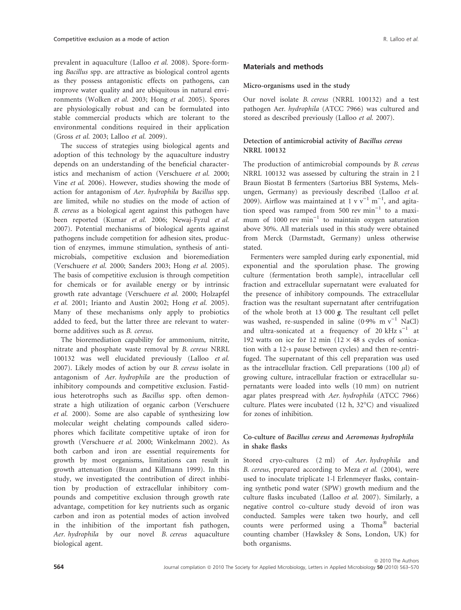prevalent in aquaculture (Lalloo et al. 2008). Spore-forming Bacillus spp. are attractive as biological control agents as they possess antagonistic effects on pathogens, can improve water quality and are ubiquitous in natural environments (Wolken et al. 2003; Hong et al. 2005). Spores are physiologically robust and can be formulated into stable commercial products which are tolerant to the environmental conditions required in their application (Gross et al. 2003; Lalloo et al. 2009).

The success of strategies using biological agents and adoption of this technology by the aquaculture industry depends on an understanding of the beneficial characteristics and mechanism of action (Verschuere et al. 2000; Vine et al. 2006). However, studies showing the mode of action for antagonism of Aer. hydrophila by Bacillus spp. are limited, while no studies on the mode of action of B. cereus as a biological agent against this pathogen have been reported (Kumar et al. 2006; Newaj-Fyzul et al. 2007). Potential mechanisms of biological agents against pathogens include competition for adhesion sites, production of enzymes, immune stimulation, synthesis of antimicrobials, competitive exclusion and bioremediation (Verschuere et al. 2000; Sanders 2003; Hong et al. 2005). The basis of competitive exclusion is through competition for chemicals or for available energy or by intrinsic growth rate advantage (Verschuere et al. 2000; Holzapfel et al. 2001; Irianto and Austin 2002; Hong et al. 2005). Many of these mechanisms only apply to probiotics added to feed, but the latter three are relevant to waterborne additives such as B. cereus.

The bioremediation capability for ammonium, nitrite, nitrate and phosphate waste removal by B. cereus NRRL 100132 was well elucidated previously (Lalloo et al. 2007). Likely modes of action by our B. cereus isolate in antagonism of Aer. hydrophila are the production of inhibitory compounds and competitive exclusion. Fastidious heterotrophs such as Bacillus spp. often demonstrate a high utilization of organic carbon (Verschuere et al. 2000). Some are also capable of synthesizing low molecular weight chelating compounds called siderophores which facilitate competitive uptake of iron for growth (Verschuere et al. 2000; Winkelmann 2002). As both carbon and iron are essential requirements for growth by most organisms, limitations can result in growth attenuation (Braun and Killmann 1999). In this study, we investigated the contribution of direct inhibition by production of extracellular inhibitory compounds and competitive exclusion through growth rate advantage, competition for key nutrients such as organic carbon and iron as potential modes of action involved in the inhibition of the important fish pathogen, Aer. hydrophila by our novel B. cereus aquaculture biological agent.

## Materials and methods

### Micro-organisms used in the study

Our novel isolate B. cereus (NRRL 100132) and a test pathogen Aer. hydrophila (ATCC 7966) was cultured and stored as described previously (Lalloo et al. 2007).

## Detection of antimicrobial activity of Bacillus cereus NRRL 100132

The production of antimicrobial compounds by B. cereus NRRL 100132 was assessed by culturing the strain in 2 l Braun Biostat B fermenters (Sartorius BBI Systems, Melsungen, Germany) as previously described (Lalloo et al. 2009). Airflow was maintained at 1 v  $v^{-1}$  m<sup>-1</sup>, and agitation speed was ramped from 500 rev  $min^{-1}$  to a maximum of 1000 rev  $min^{-1}$  to maintain oxygen saturation above 30%. All materials used in this study were obtained from Merck (Darmstadt, Germany) unless otherwise stated.

Fermenters were sampled during early exponential, mid exponential and the sporulation phase. The growing culture (fermentation broth sample), intracellular cell fraction and extracellular supernatant were evaluated for the presence of inhibitory compounds. The extracellular fraction was the resultant supernatant after centrifugation of the whole broth at 13 000 g. The resultant cell pellet was washed, re-suspended in saline (0.9% m  $v^{-1}$  NaCl) and ultra-sonicated at a frequency of 20  $kHz$  s<sup>-1</sup> at 192 watts on ice for 12 min ( $12 \times 48$  s cycles of sonication with a 12-s pause between cycles) and then re-centrifuged. The supernatant of this cell preparation was used as the intracellular fraction. Cell preparations  $(100 \mu l)$  of growing culture, intracellular fraction or extracellular supernatants were loaded into wells (10 mm) on nutrient agar plates prespread with Aer. hydrophila (ATCC 7966) culture. Plates were incubated (12 h, 32°C) and visualized for zones of inhibition.

## Co-culture of Bacillus cereus and Aeromonas hydrophila in shake flasks

Stored cryo-cultures (2 ml) of Aer. hydrophila and B. cereus, prepared according to Meza et al. (2004), were used to inoculate triplicate 1-l Erlenmeyer flasks, containing synthetic pond water (SPW) growth medium and the culture flasks incubated (Lalloo et al. 2007). Similarly, a negative control co-culture study devoid of iron was conducted. Samples were taken two hourly, and cell counts were performed using a Thoma<sup>®</sup> bacterial counting chamber (Hawksley & Sons, London, UK) for both organisms.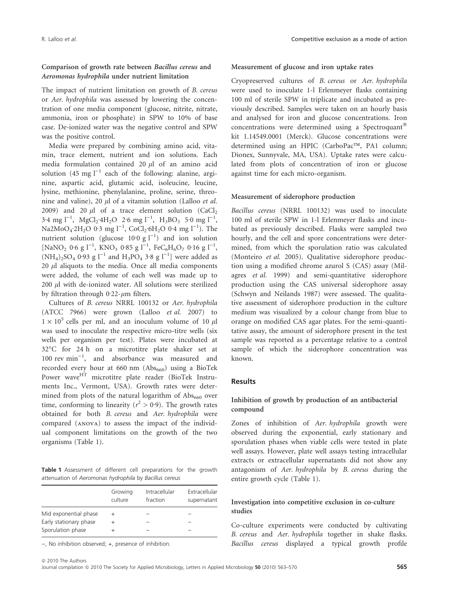## Comparison of growth rate between Bacillus cereus and Aeromonas hydrophila under nutrient limitation

The impact of nutrient limitation on growth of B. cereus or Aer. hydrophila was assessed by lowering the concentration of one media component (glucose, nitrite, nitrate, ammonia, iron or phosphate) in SPW to 10% of base case. De-ionized water was the negative control and SPW was the positive control.

Media were prepared by combining amino acid, vitamin, trace element, nutrient and ion solutions. Each media formulation contained 20  $\mu$ l of an amino acid solution (45 mg  $l^{-1}$  each of the following: alanine, arginine, aspartic acid, glutamic acid, isoleucine, leucine, lysine, methionine, phenylalanine, proline, serine, threonine and valine), 20  $\mu$ l of a vitamin solution (Lalloo et al. 2009) and 20  $\mu$ l of a trace element solution (CaCl<sub>2</sub>  $3.4 \text{ mg l}^{-1}$ , MgCl<sub>2</sub>  $4H_2O$  2.6 mg l<sup>-1</sup>, H<sub>3</sub>BO<sub>3</sub> 5.0 mg l<sup>-1</sup>, Na2MoO<sub>4</sub>·2H<sub>2</sub>O 0·3 mg l<sup>-1</sup>, CoCl<sub>2</sub>·6H<sub>2</sub>O 0·4 mg l<sup>-1</sup>). The nutrient solution (glucose  $10.0 \text{ g l}^{-1}$ ) and ion solution  $[NaNO<sub>2</sub> 0.6 g I<sup>-1</sup>, KNO<sub>3</sub> 0.85 g I<sup>-1</sup>, FeC<sub>6</sub>H<sub>6</sub>O<sub>7</sub> 0.16 g I<sup>-1</sup>,$  $(NH_4)_2SO_4$  0.93 g  $l^{-1}$  and  $H_3PO_4$  3.8 g  $l^{-1}$ ] were added as  $20 \mu l$  aliquots to the media. Once all media components were added, the volume of each well was made up to  $200 \mu l$  with de-ionized water. All solutions were sterilized by filtration through  $0.22$ - $\mu$ m filters.

Cultures of B. cereus NRRL 100132 or Aer. hydrophila (ATCC 7966) were grown (Lalloo et al. 2007) to  $1 \times 10^5$  cells per ml, and an inoculum volume of 10  $\mu$ l was used to inoculate the respective micro-titre wells (six wells per organism per test). Plates were incubated at 32-C for 24 h on a microtitre plate shaker set at  $100$  rev min<sup>-1</sup>, and absorbance was measured and recorded every hour at 660 nm  $(Abs<sub>660</sub>)$  using a BioTek Power wave<sup>HT</sup> microtitre plate reader (BioTek Instruments Inc., Vermont, USA). Growth rates were determined from plots of the natural logarithm of  $\text{Abs}_{660}$  over time, conforming to linearity ( $r^2 > 0.9$ ). The growth rates obtained for both B. cereus and Aer. hydrophila were compared (anova) to assess the impact of the individual component limitations on the growth of the two organisms (Table 1).

Table 1 Assessment of different cell preparations for the growth attenuation of Aeromonas hydrophila by Bacillus cereus

|                                             | Growing<br>culture | Intracellular<br>fraction | Extracellular<br>supernatant |
|---------------------------------------------|--------------------|---------------------------|------------------------------|
| Mid exponential phase                       |                    |                           |                              |
| Early stationary phase<br>Sporulation phase | ÷                  |                           |                              |
|                                             |                    |                           |                              |

), No inhibition observed; +, presence of inhibition.

### Measurement of glucose and iron uptake rates

Cryopreserved cultures of B. cereus or Aer. hydrophila were used to inoculate 1-l Erlenmeyer flasks containing 100 ml of sterile SPW in triplicate and incubated as previously described. Samples were taken on an hourly basis and analysed for iron and glucose concentrations. Iron concentrations were determined using a Spectroquant kit 1.14549.0001 (Merck). Glucose concentrations were determined using an HPIC (CarboPac™, PA1 column; Dionex, Sunnyvale, MA, USA). Uptake rates were calculated from plots of concentration of iron or glucose against time for each micro-organism.

#### Measurement of siderophore production

Bacillus cereus (NRRL 100132) was used to inoculate 100 ml of sterile SPW in 1-l Erlenmeyer flasks and incubated as previously described. Flasks were sampled two hourly, and the cell and spore concentrations were determined, from which the sporulation ratio was calculated (Monteiro et al. 2005). Qualitative siderophore production using a modified chrome azurol S (CAS) assay (Milagres et al. 1999) and semi-quantitative siderophore production using the CAS universal siderophore assay (Schwyn and Neilands 1987) were assessed. The qualitative assessment of siderophore production in the culture medium was visualized by a colour change from blue to orange on modified CAS agar plates. For the semi-quantitative assay, the amount of siderophore present in the test sample was reported as a percentage relative to a control sample of which the siderophore concentration was known.

#### Results

## Inhibition of growth by production of an antibacterial compound

Zones of inhibition of Aer. hydrophila growth were observed during the exponential, early stationary and sporulation phases when viable cells were tested in plate well assays. However, plate well assays testing intracellular extracts or extracellular supernatants did not show any antagonism of Aer. hydrophila by B. cereus during the entire growth cycle (Table 1).

## Investigation into competitive exclusion in co-culture studies

Co-culture experiments were conducted by cultivating B. cereus and Aer. hydrophila together in shake flasks. Bacillus cereus displayed a typical growth profile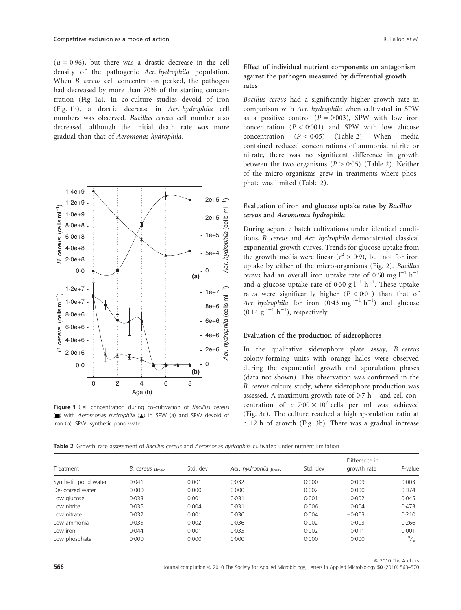( $\mu$  = 0.96), but there was a drastic decrease in the cell density of the pathogenic Aer. hydrophila population. When *B. cereus* cell concentration peaked, the pathogen had decreased by more than 70% of the starting concentration (Fig. 1a). In co-culture studies devoid of iron (Fig. 1b), a drastic decrease in Aer. hydrophila cell numbers was observed. Bacillus cereus cell number also decreased, although the initial death rate was more gradual than that of Aeromonas hydrophila.



Figure 1 Cell concentration during co-cultivation of Bacillus cereus () with Aeromonas hydrophila ( $\triangle$ ) in SPW (a) and SPW devoid of iron (b). SPW, synthetic pond water.

## Effect of individual nutrient components on antagonism against the pathogen measured by differential growth rates

Bacillus cereus had a significantly higher growth rate in comparison with Aer. hydrophila when cultivated in SPW as a positive control  $(P = 0.003)$ , SPW with low iron concentration  $(P < 0.001)$  and SPW with low glucose concentration  $(P < 0.05)$  (Table 2). When media contained reduced concentrations of ammonia, nitrite or nitrate, there was no significant difference in growth between the two organisms  $(P > 0.05)$  (Table 2). Neither of the micro-organisms grew in treatments where phosphate was limited (Table 2).

## Evaluation of iron and glucose uptake rates by Bacillus cereus and Aeromonas hydrophila

During separate batch cultivations under identical conditions, B. cereus and Aer. hydrophila demonstrated classical exponential growth curves. Trends for glucose uptake from the growth media were linear ( $r^2 > 0.9$ ), but not for iron uptake by either of the micro-organisms (Fig. 2). Bacillus *cereus* had an overall iron uptake rate of 0.60 mg  $l^{-1}$  h<sup>-1</sup> and a glucose uptake rate of 0.30 g  $l^{-1}$  h<sup>-1</sup>. These uptake rates were significantly higher  $(P < 0.01)$  than that of Aer. hydrophila for iron  $(0.43 \text{ mg l}^{-1} \text{ h}^{-1})$  and glucose  $(0.14 \text{ g } l^{-1} \text{ h}^{-1})$ , respectively.

## Evaluation of the production of siderophores

In the qualitative siderophore plate assay, B. cereus colony-forming units with orange halos were observed during the exponential growth and sporulation phases (data not shown). This observation was confirmed in the B. cereus culture study, where siderophore production was assessed. A maximum growth rate of  $0.7 h^{-1}$  and cell concentration of c.  $7.00 \times 10^7$  cells per ml was achieved (Fig. 3a). The culture reached a high sporulation ratio at c. 12 h of growth (Fig. 3b). There was a gradual increase

Table 2 Growth rate assessment of Bacillus cereus and Aeromonas hydrophila cultivated under nutrient limitation

| Treatment            | <i>B. cereus <math>\mu_{\text{max}}</math></i> | Std. dev | Aer. hydrophila $\mu_{\text{max}}$ | Std. dev | Difference in<br>growth rate | $P$ -value     |
|----------------------|------------------------------------------------|----------|------------------------------------|----------|------------------------------|----------------|
| Synthetic pond water | 0.041                                          | 0.001    | 0.032                              | 0.000    | 0.009                        | 0.003          |
| De-jonized water     | 0.000                                          | 0.000    | 0.000                              | 0.002    | 0.000                        | 0.374          |
| Low glucose          | 0.033                                          | 0.001    | 0.031                              | 0.001    | 0.002                        | 0.045          |
| Low nitrite          | 0.035                                          | 0.004    | 0.031                              | 0.006    | 0.004                        | 0.473          |
| Low nitrate          | 0.032                                          | 0.001    | 0.036                              | 0.004    | $-0.003$                     | 0.210          |
| Low ammonia          | 0.033                                          | 0.002    | 0.036                              | 0.002    | $-0.003$                     | 0.266          |
| Low iron             | 0.044                                          | 0.001    | 0.033                              | 0.002    | 0.011                        | 0.001          |
| Low phosphate        | 0.000                                          | 0.000    | 0.000                              | 0.000    | 0.000                        | $n_{\text{A}}$ |

**566** Journal compilation @ 2010 The Society for Applied Microbiology, Letters in Applied Microbiology 50 (2010) 563-570 ª 2010 The Authors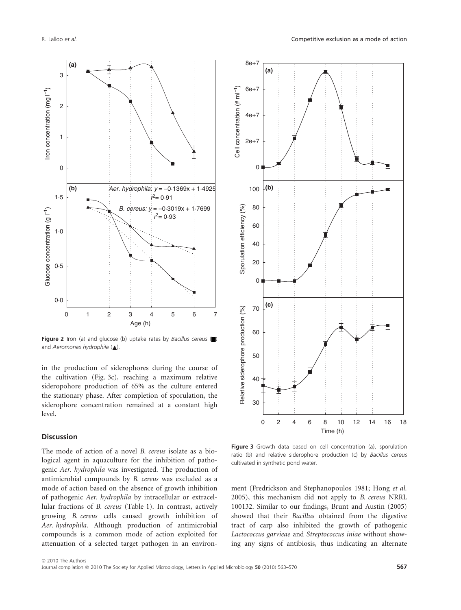

Figure 2 Iron (a) and glucose (b) uptake rates by Bacillus cereus  $\Box$ and Aeromonas hydrophila  $(\triangle)$ .

in the production of siderophores during the course of the cultivation (Fig. 3c), reaching a maximum relative sideropohore production of 65% as the culture entered the stationary phase. After completion of sporulation, the siderophore concentration remained at a constant high level.

### **Discussion**

The mode of action of a novel B. cereus isolate as a biological agent in aquaculture for the inhibition of pathogenic Aer. hydrophila was investigated. The production of antimicrobial compounds by B. cereus was excluded as a mode of action based on the absence of growth inhibition of pathogenic Aer. hydrophila by intracellular or extracellular fractions of B. cereus (Table 1). In contrast, actively growing B. cereus cells caused growth inhibition of Aer. hydrophila. Although production of antimicrobial compounds is a common mode of action exploited for attenuation of a selected target pathogen in an environ-



Figure 3 Growth data based on cell concentration (a), sporulation ratio (b) and relative siderophore production (c) by Bacillus cereus cultivated in synthetic pond water.

ment (Fredrickson and Stephanopoulos 1981; Hong et al. 2005), this mechanism did not apply to B. cereus NRRL 100132. Similar to our findings, Brunt and Austin (2005) showed that their Bacillus obtained from the digestive tract of carp also inhibited the growth of pathogenic Lactococcus garvieae and Streptococcus iniae without showing any signs of antibiosis, thus indicating an alternate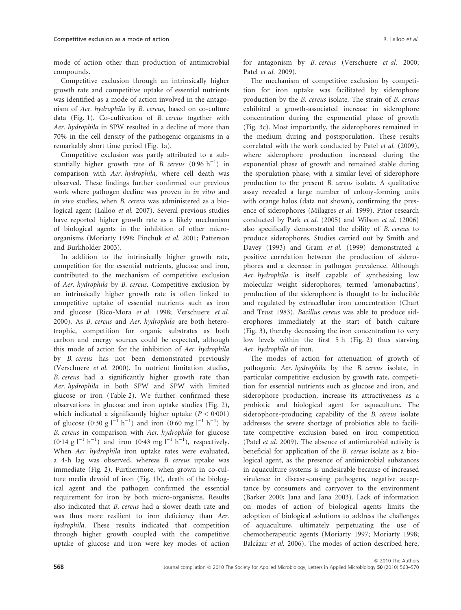mode of action other than production of antimicrobial compounds.

Competitive exclusion through an intrinsically higher growth rate and competitive uptake of essential nutrients was identified as a mode of action involved in the antagonism of Aer. hydrophila by B. cereus, based on co-culture data (Fig. 1). Co-cultivation of B. cereus together with Aer. hydrophila in SPW resulted in a decline of more than 70% in the cell density of the pathogenic organisms in a remarkably short time period (Fig. 1a).

Competitive exclusion was partly attributed to a substantially higher growth rate of *B. cereus*  $(0.96 h^{-1})$  in comparison with Aer. hydrophila, where cell death was observed. These findings further confirmed our previous work where pathogen decline was proven in in vitro and in vivo studies, when B. cereus was administered as a biological agent (Lalloo et al. 2007). Several previous studies have reported higher growth rate as a likely mechanism of biological agents in the inhibition of other microorganisms (Moriarty 1998; Pinchuk et al. 2001; Patterson and Burkholder 2003).

In addition to the intrinsically higher growth rate, competition for the essential nutrients, glucose and iron, contributed to the mechanism of competitive exclusion of Aer. hydrophila by B. cereus. Competitive exclusion by an intrinsically higher growth rate is often linked to competitive uptake of essential nutrients such as iron and glucose (Rico-Mora et al. 1998; Verschuere et al. 2000). As B. cereus and Aer. hydrophila are both heterotrophic, competition for organic substrates as both carbon and energy sources could be expected, although this mode of action for the inhibition of Aer. hydrophila by B. cereus has not been demonstrated previously (Verschuere et al. 2000). In nutrient limitation studies, B. cereus had a significantly higher growth rate than Aer. hydrophila in both SPW and SPW with limited glucose or iron (Table 2). We further confirmed these observations in glucose and iron uptake studies (Fig. 2), which indicated a significantly higher uptake  $(P < 0.001)$ of glucose  $(0.30 \text{ g l}^{-1} \text{ h}^{-1})$  and iron  $(0.60 \text{ mg l}^{-1} \text{ h}^{-1})$  by B. cereus in comparison with Aer. hydrophila for glucose  $(0.14 \text{ g l}^{-1} \text{ h}^{-1})$  and iron  $(0.43 \text{ mg l}^{-1} \text{ h}^{-1})$ , respectively. When Aer. hydrophila iron uptake rates were evaluated, a 4-h lag was observed, whereas B. cereus uptake was immediate (Fig. 2). Furthermore, when grown in co-culture media devoid of iron (Fig. 1b), death of the biological agent and the pathogen confirmed the essential requirement for iron by both micro-organisms. Results also indicated that B. cereus had a slower death rate and was thus more resilient to iron deficiency than Aer. hydrophila. These results indicated that competition through higher growth coupled with the competitive uptake of glucose and iron were key modes of action for antagonism by *B. cereus* (Verschuere *et al.* 2000; Patel et al. 2009).

The mechanism of competitive exclusion by competition for iron uptake was facilitated by siderophore production by the B. cereus isolate. The strain of B. cereus exhibited a growth-associated increase in siderophore concentration during the exponential phase of growth (Fig. 3c). Most importantly, the siderophores remained in the medium during and postsporulation. These results correlated with the work conducted by Patel et al. (2009), where siderophore production increased during the exponential phase of growth and remained stable during the sporulation phase, with a similar level of siderophore production to the present B. cereus isolate. A qualitative assay revealed a large number of colony-forming units with orange halos (data not shown), confirming the presence of siderophores (Milagres et al. 1999). Prior research conducted by Park et al. (2005) and Wilson et al. (2006) also specifically demonstrated the ability of B. cereus to produce siderophores. Studies carried out by Smith and Davey (1993) and Gram et al. (1999) demonstrated a positive correlation between the production of siderophores and a decrease in pathogen prevalence. Although Aer. hydrophila is itself capable of synthesizing low molecular weight siderophores, termed 'amonabactins', production of the siderophore is thought to be inducible and regulated by extracellular iron concentration (Chart and Trust 1983). Bacillus cereus was able to produce siderophores immediately at the start of batch culture (Fig. 3), thereby decreasing the iron concentration to very low levels within the first 5 h (Fig. 2) thus starving Aer. hydrophila of iron.

The modes of action for attenuation of growth of pathogenic Aer. hydrophila by the B. cereus isolate, in particular competitive exclusion by growth rate, competition for essential nutrients such as glucose and iron, and siderophore production, increase its attractiveness as a probiotic and biological agent for aquaculture. The siderophore-producing capability of the B. cereus isolate addresses the severe shortage of probiotics able to facilitate competitive exclusion based on iron competition (Patel et al. 2009). The absence of antimicrobial activity is beneficial for application of the B. cereus isolate as a biological agent, as the presence of antimicrobial substances in aquaculture systems is undesirable because of increased virulence in disease-causing pathogens, negative acceptance by consumers and carryover to the environment (Barker 2000; Jana and Jana 2003). Lack of information on modes of action of biological agents limits the adoption of biological solutions to address the challenges of aquaculture, ultimately perpetuating the use of chemotherapeutic agents (Moriarty 1997; Moriarty 1998; Balcázar et al. 2006). The modes of action described here,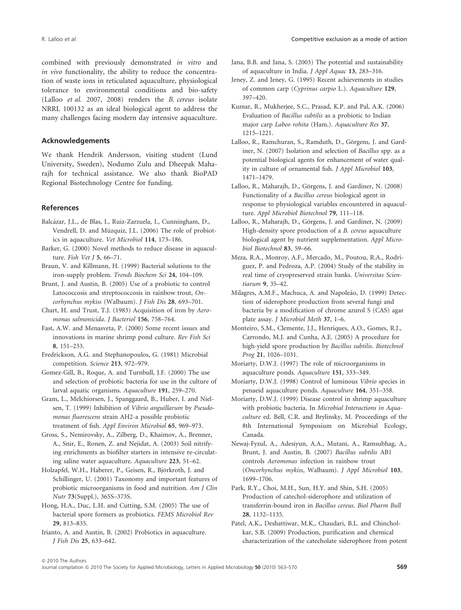combined with previously demonstrated in vitro and in vivo functionality, the ability to reduce the concentration of waste ions in reticulated aquaculture, physiological tolerance to environmental conditions and bio-safety (Lalloo et al. 2007, 2008) renders the B. cereus isolate NRRL 100132 as an ideal biological agent to address the many challenges facing modern day intensive aquaculture.

## Acknowledgements

We thank Hendrik Andersson, visiting student (Lund University, Sweden), Nodumo Zulu and Dheepak Maharajh for technical assistance. We also thank BioPAD Regional Biotechnology Centre for funding.

## References

- Balcázar, J.L., de Blas, I., Ruiz-Zarzuela, I., Cunningham, D., Vendrell, D. and Múzquiz, J.L. (2006) The role of probiotics in aquaculture. Vet Microbiol 114, 173–186.
- Barker, G. (2000) Novel methods to reduce disease in aquaculture. Fish Vet J 5, 66–71.
- Braun, V. and Killmann, H. (1999) Bacterial solutions to the iron-supply problem. Trends Biochem Sci 24, 104–109.
- Brunt, J. and Austin, B. (2005) Use of a probiotic to control Latococcosis and streptococcosis in rainbow trout, Oncorhynchus mykiss (Walbaum). J Fish Dis 28, 693–701.
- Chart, H. and Trust, T.J. (1983) Acquisition of iron by Aeromonas salmonicida. J Bacteriol 156, 758–764.
- Fast, A.W. and Menasveta, P. (2000) Some recent issues and innovations in marine shrimp pond culture. Rev Fish Sci 8, 151–233.
- Fredrickson, A.G. and Stephanopoulos, G. (1981) Microbial competition. Science 213, 972–979.
- Gomez-Gill, B., Roque, A. and Turnbull, J.F. (2000) The use and selection of probiotic bacteria for use in the culture of larval aquatic organisms. Aquaculture 191, 259–270.

Gram, L., Melchiorsen, J., Spanggaard, B., Huber, I. and Nielsen, T. (1999) Inhibition of Vibrio anguillarum by Pseudomonas fluorescens strain AH2-a possible probiotic treatment of fish. Appl Environ Microbiol 65, 969–973.

Gross, S., Nemirovsky, A., Zilberg, D., Khaimov, A., Brenner, A., Snir, E., Ronen, Z. and Nejidat, A. (2003) Soil nitrifying enrichments as biofilter starters in intensive re-circulating saline water aquaculture. Aquaculture 223, 51–62.

Holzapfel, W.H., Haberer, P., Geisen, R., Björkroth, J. and Schillinger, U. (2001) Taxonomy and important features of probiotic microorganisms in food and nutrition. Am J Clin Nutr 73(Suppl.), 365S–373S.

Hong, H.A., Duc, L.H. and Cutting, S.M. (2005) The use of bacterial spore formers as probiotics. FEMS Microbiol Rev 29, 813–835.

Irianto, A. and Austin, B. (2002) Probiotics in aquaculture. J Fish Dis 25, 633–642.

- Jana, B.B. and Jana, S. (2003) The potential and sustainability of aquaculture in India. J Appl Aquac 13, 283–316.
- Jeney, Z. and Jeney, G. (1995) Recent achievements in studies of common carp (Cyprinus carpio L.). Aquaculture 129, 397–420.
- Kumar, R., Mukherjee, S.C., Prasad, K.P. and Pal, A.K. (2006) Evaluation of Bacillus subtilis as a probiotic to Indian major carp Labeo rohita (Ham.). Aquaculture Res 37, 1215–1221.
- Lalloo, R., Ramchuran, S., Ramduth, D., Görgens, J. and Gardiner, N. (2007) Isolation and selection of Bacillus spp. as a potential biological agents for enhancement of water quality in culture of ornamental fish. J Appl Microbiol 103, 1471–1479.
- Lalloo, R., Maharajh, D., Görgens, J. and Gardiner, N. (2008) Functionality of a Bacillus cereus biological agent in response to physiological variables encountered in aquaculture. Appl Microbiol Biotechnol 79, 111–118.
- Lalloo, R., Maharajh, D., Görgens, J. and Gardiner, N. (2009) High-density spore production of a B. cereus aquaculture biological agent by nutrient supplementation. Appl Microbiol Biotechnol 83, 59–66.
- Meza, R.A., Monroy, A.F., Mercado, M., Poutou, R.A., Rodriguez, P. and Pedroza, A.P. (2004) Study of the stability in real time of cryopreserved strain banks. Universitas Scientiarum 9, 35–42.
- Milagres, A.M.F., Machuca, A. and Napoleão, D. (1999) Detection of siderophore production from several fungi and bacteria by a modification of chrome azurol S (CAS) agar plate assay. J Microbiol Meth 37, 1–6.
- Monteiro, S.M., Clemente, J.J., Henriques, A.O., Gomes, R.J., Carrondo, M.J. and Cunha, A.E. (2005) A procedure for high-yield spore production by Bacillus subtilis. Biotechnol Prog 21, 1026–1031.
- Moriarty, D.W.J. (1997) The role of microorganisms in aquaculture ponds. Aquaculture 151, 333–349.
- Moriarty, D.W.J. (1998) Control of luminous Vibrio species in penaeid aquaculture ponds. Aquaculture 164, 351–358.
- Moriarty, D.W.J. (1999) Disease control in shrimp aquaculture with probiotic bacteria. In Microbial Interactions in Aquaculture ed. Bell, C.R. and Brylinsky, M. Proceedings of the 8th International Symposium on Microbial Ecology, Canada.
- Newaj-Fyzul, A., Adesiyun, A.A., Mutani, A., Ramsubhag, A., Brunt, J. and Austin, B. (2007) Bacillus subtilis AB1 controls Aeromonas infection in rainbow trout (Oncorhynchus mykiss, Walbaum). J Appl Microbiol 103, 1699–1706.
- Park, R.Y., Choi, M.H., Sun, H.Y. and Shin, S.H. (2005) Production of catechol-siderophore and utilization of transferrin-bound iron in Bacillus cereus. Biol Pharm Bull 28, 1132–1135.

Patel, A.K., Deshattiwar, M.K., Chaudari, B.L. and Chincholkar, S.B. (2009) Production, purification and chemical characterization of the catecholate siderophore from potent